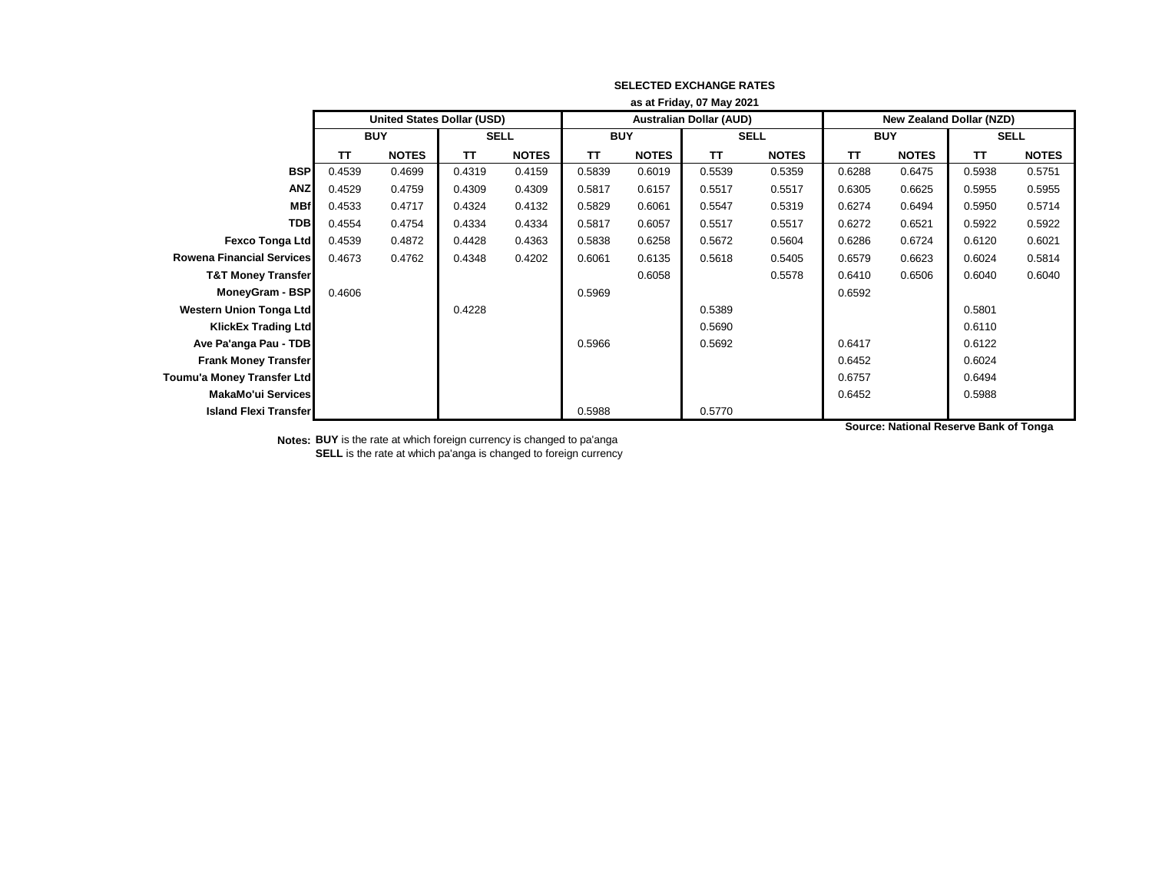|                                  | as at Friday, 07 May 2021 |                            |             |              |            |              |                                |              |                                 |              |             |              |
|----------------------------------|---------------------------|----------------------------|-------------|--------------|------------|--------------|--------------------------------|--------------|---------------------------------|--------------|-------------|--------------|
|                                  |                           | United States Dollar (USD) |             |              |            |              | <b>Australian Dollar (AUD)</b> |              | <b>New Zealand Dollar (NZD)</b> |              |             |              |
|                                  | <b>BUY</b>                |                            | <b>SELL</b> |              | <b>BUY</b> |              | <b>SELL</b>                    |              | <b>BUY</b>                      |              | <b>SELL</b> |              |
|                                  | TΤ                        | <b>NOTES</b>               | TΤ          | <b>NOTES</b> | TΤ         | <b>NOTES</b> | <b>TT</b>                      | <b>NOTES</b> | TΤ                              | <b>NOTES</b> | TΤ          | <b>NOTES</b> |
| <b>BSP</b>                       | 0.4539                    | 0.4699                     | 0.4319      | 0.4159       | 0.5839     | 0.6019       | 0.5539                         | 0.5359       | 0.6288                          | 0.6475       | 0.5938      | 0.5751       |
| <b>ANZ</b>                       | 0.4529                    | 0.4759                     | 0.4309      | 0.4309       | 0.5817     | 0.6157       | 0.5517                         | 0.5517       | 0.6305                          | 0.6625       | 0.5955      | 0.5955       |
| <b>MBf</b>                       | 0.4533                    | 0.4717                     | 0.4324      | 0.4132       | 0.5829     | 0.6061       | 0.5547                         | 0.5319       | 0.6274                          | 0.6494       | 0.5950      | 0.5714       |
| <b>TDB</b>                       | 0.4554                    | 0.4754                     | 0.4334      | 0.4334       | 0.5817     | 0.6057       | 0.5517                         | 0.5517       | 0.6272                          | 0.6521       | 0.5922      | 0.5922       |
| <b>Fexco Tonga Ltd</b>           | 0.4539                    | 0.4872                     | 0.4428      | 0.4363       | 0.5838     | 0.6258       | 0.5672                         | 0.5604       | 0.6286                          | 0.6724       | 0.6120      | 0.6021       |
| <b>Rowena Financial Services</b> | 0.4673                    | 0.4762                     | 0.4348      | 0.4202       | 0.6061     | 0.6135       | 0.5618                         | 0.5405       | 0.6579                          | 0.6623       | 0.6024      | 0.5814       |
| <b>T&amp;T Money Transfer</b>    |                           |                            |             |              |            | 0.6058       |                                | 0.5578       | 0.6410                          | 0.6506       | 0.6040      | 0.6040       |
| MoneyGram - BSP                  | 0.4606                    |                            |             |              | 0.5969     |              |                                |              | 0.6592                          |              |             |              |
| <b>Western Union Tonga Ltd</b>   |                           |                            | 0.4228      |              |            |              | 0.5389                         |              |                                 |              | 0.5801      |              |
| <b>KlickEx Trading Ltd</b>       |                           |                            |             |              |            |              | 0.5690                         |              |                                 |              | 0.6110      |              |
| Ave Pa'anga Pau - TDB            |                           |                            |             |              | 0.5966     |              | 0.5692                         |              | 0.6417                          |              | 0.6122      |              |
| <b>Frank Money Transfer</b>      |                           |                            |             |              |            |              |                                |              | 0.6452                          |              | 0.6024      |              |
| Toumu'a Money Transfer Ltd       |                           |                            |             |              |            |              |                                |              | 0.6757                          |              | 0.6494      |              |
| MakaMo'ui Services               |                           |                            |             |              |            |              |                                |              | 0.6452                          |              | 0.5988      |              |
| <b>Island Flexi Transfer</b>     |                           |                            |             |              | 0.5988     |              | 0.5770                         |              |                                 |              |             |              |

**Notes: BUY** is the rate at which foreign currency is changed to pa'anga **SELL** is the rate at which pa'anga is changed to foreign currency **Source: National Reserve Bank of Tonga**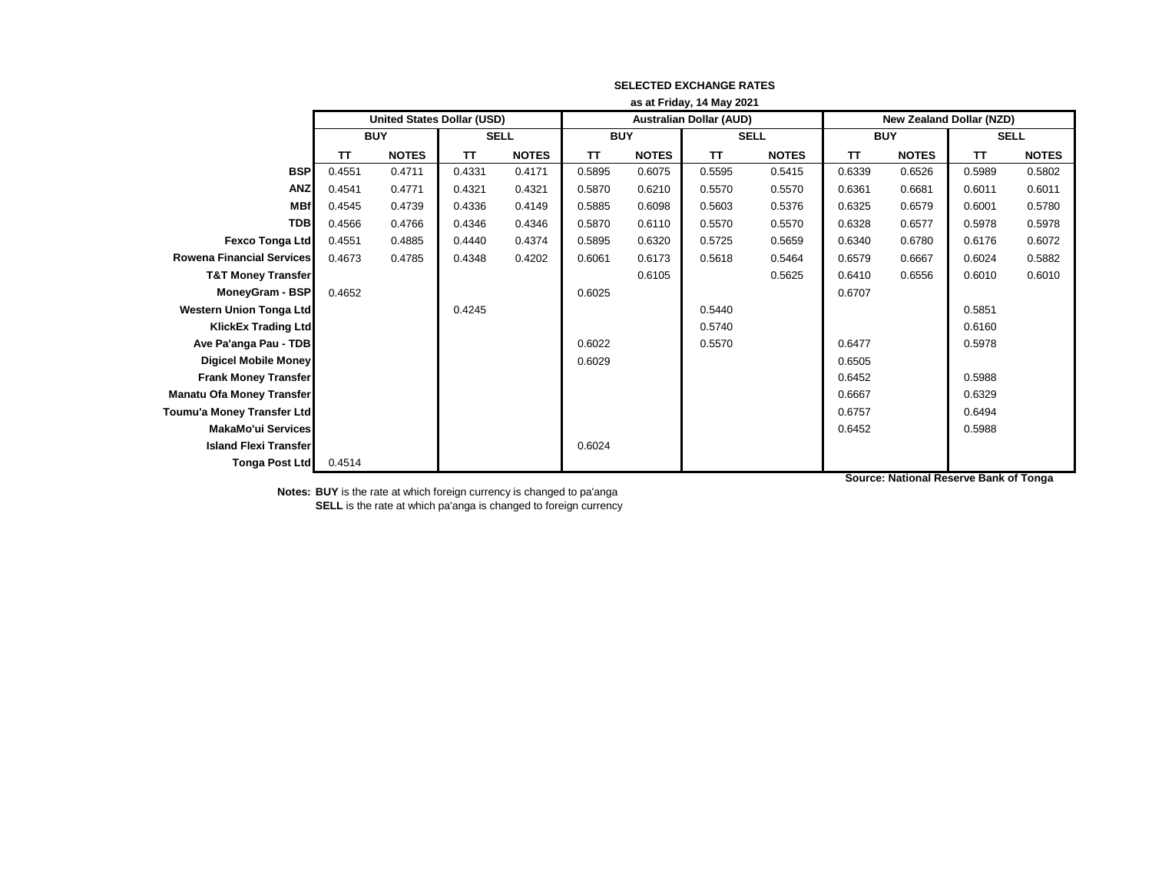|                                  | as at Friday, 14 May 2021         |              |             |              |            |              |                                |              |                                 |              |             |              |
|----------------------------------|-----------------------------------|--------------|-------------|--------------|------------|--------------|--------------------------------|--------------|---------------------------------|--------------|-------------|--------------|
|                                  | <b>United States Dollar (USD)</b> |              |             |              |            |              | <b>Australian Dollar (AUD)</b> |              | <b>New Zealand Dollar (NZD)</b> |              |             |              |
|                                  | <b>BUY</b>                        |              | <b>SELL</b> |              | <b>BUY</b> |              | <b>SELL</b>                    |              | <b>BUY</b>                      |              | <b>SELL</b> |              |
|                                  | TΤ                                | <b>NOTES</b> | TΤ          | <b>NOTES</b> | <b>TT</b>  | <b>NOTES</b> | <b>TT</b>                      | <b>NOTES</b> | TΤ                              | <b>NOTES</b> | TΤ          | <b>NOTES</b> |
| <b>BSP</b>                       | 0.4551                            | 0.4711       | 0.4331      | 0.4171       | 0.5895     | 0.6075       | 0.5595                         | 0.5415       | 0.6339                          | 0.6526       | 0.5989      | 0.5802       |
| <b>ANZ</b>                       | 0.4541                            | 0.4771       | 0.4321      | 0.4321       | 0.5870     | 0.6210       | 0.5570                         | 0.5570       | 0.6361                          | 0.6681       | 0.6011      | 0.6011       |
| <b>MBf</b>                       | 0.4545                            | 0.4739       | 0.4336      | 0.4149       | 0.5885     | 0.6098       | 0.5603                         | 0.5376       | 0.6325                          | 0.6579       | 0.6001      | 0.5780       |
| <b>TDB</b>                       | 0.4566                            | 0.4766       | 0.4346      | 0.4346       | 0.5870     | 0.6110       | 0.5570                         | 0.5570       | 0.6328                          | 0.6577       | 0.5978      | 0.5978       |
| <b>Fexco Tonga Ltd</b>           | 0.4551                            | 0.4885       | 0.4440      | 0.4374       | 0.5895     | 0.6320       | 0.5725                         | 0.5659       | 0.6340                          | 0.6780       | 0.6176      | 0.6072       |
| <b>Rowena Financial Services</b> | 0.4673                            | 0.4785       | 0.4348      | 0.4202       | 0.6061     | 0.6173       | 0.5618                         | 0.5464       | 0.6579                          | 0.6667       | 0.6024      | 0.5882       |
| <b>T&amp;T Money Transfer</b>    |                                   |              |             |              |            | 0.6105       |                                | 0.5625       | 0.6410                          | 0.6556       | 0.6010      | 0.6010       |
| MoneyGram - BSP                  | 0.4652                            |              |             |              | 0.6025     |              |                                |              | 0.6707                          |              |             |              |
| <b>Western Union Tonga Ltd</b>   |                                   |              | 0.4245      |              |            |              | 0.5440                         |              |                                 |              | 0.5851      |              |
| <b>KlickEx Trading Ltd</b>       |                                   |              |             |              |            |              | 0.5740                         |              |                                 |              | 0.6160      |              |
| Ave Pa'anga Pau - TDB            |                                   |              |             |              | 0.6022     |              | 0.5570                         |              | 0.6477                          |              | 0.5978      |              |
| <b>Digicel Mobile Money</b>      |                                   |              |             |              | 0.6029     |              |                                |              | 0.6505                          |              |             |              |
| <b>Frank Money Transfer</b>      |                                   |              |             |              |            |              |                                |              | 0.6452                          |              | 0.5988      |              |
| <b>Manatu Ofa Money Transfer</b> |                                   |              |             |              |            |              |                                |              | 0.6667                          |              | 0.6329      |              |
| Toumu'a Money Transfer Ltd       |                                   |              |             |              |            |              |                                |              | 0.6757                          |              | 0.6494      |              |
| <b>MakaMo'ui Services</b>        |                                   |              |             |              |            |              |                                |              | 0.6452                          |              | 0.5988      |              |
| <b>Island Flexi Transfer</b>     |                                   |              |             |              | 0.6024     |              |                                |              |                                 |              |             |              |
| <b>Tonga Post Ltd</b>            | 0.4514                            |              |             |              |            |              |                                |              |                                 |              |             |              |

**Source: National Reserve Bank of Tonga**

**Notes: BUY** is the rate at which foreign currency is changed to pa'anga **SELL** is the rate at which pa'anga is changed to foreign currency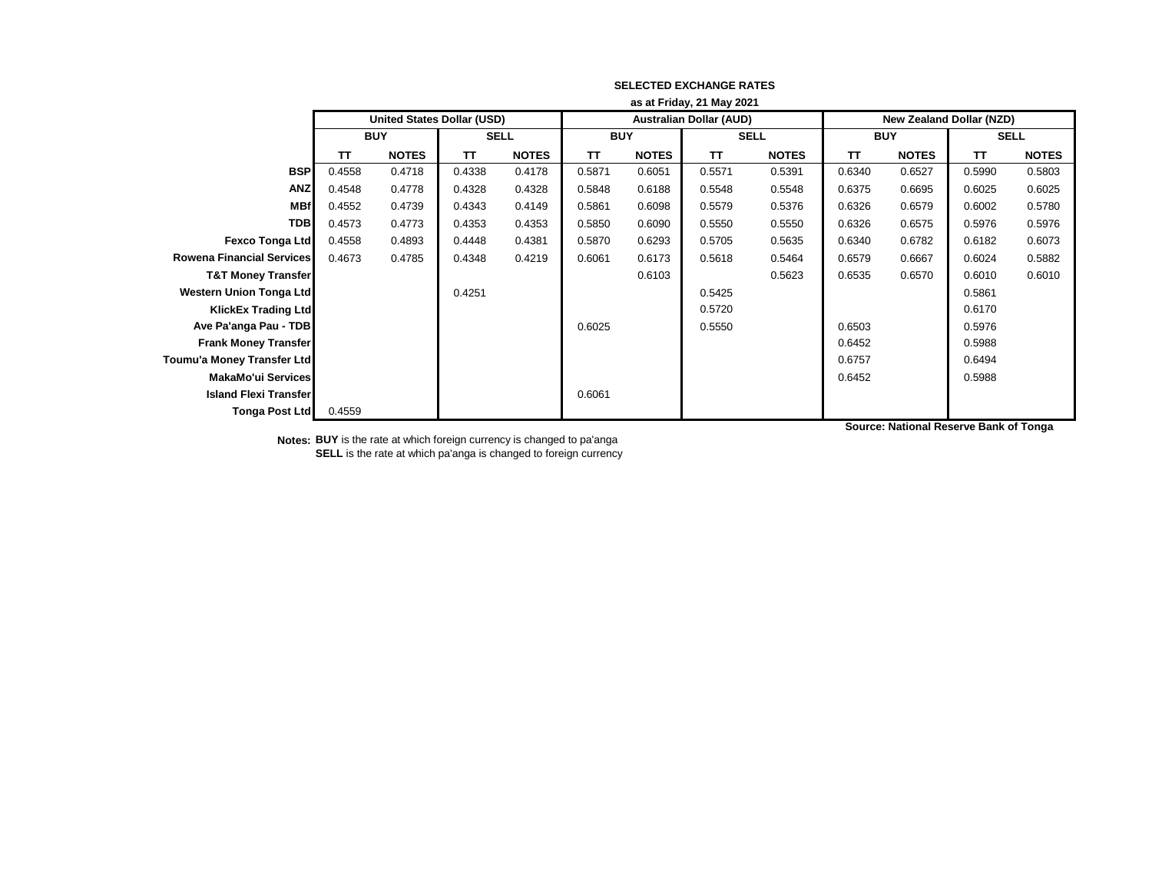|                                  | as at Friday, 21 May 2021  |              |             |              |            |              |                                |              |                                 |              |             |              |
|----------------------------------|----------------------------|--------------|-------------|--------------|------------|--------------|--------------------------------|--------------|---------------------------------|--------------|-------------|--------------|
|                                  | United States Dollar (USD) |              |             |              |            |              | <b>Australian Dollar (AUD)</b> |              | <b>New Zealand Dollar (NZD)</b> |              |             |              |
|                                  | <b>BUY</b>                 |              | <b>SELL</b> |              | <b>BUY</b> |              | <b>SELL</b>                    |              | <b>BUY</b>                      |              | <b>SELL</b> |              |
|                                  | TΤ                         | <b>NOTES</b> | TΤ          | <b>NOTES</b> | TΤ         | <b>NOTES</b> | <b>TT</b>                      | <b>NOTES</b> | TΤ                              | <b>NOTES</b> | TΤ          | <b>NOTES</b> |
| <b>BSP</b>                       | 0.4558                     | 0.4718       | 0.4338      | 0.4178       | 0.5871     | 0.6051       | 0.5571                         | 0.5391       | 0.6340                          | 0.6527       | 0.5990      | 0.5803       |
| <b>ANZ</b>                       | 0.4548                     | 0.4778       | 0.4328      | 0.4328       | 0.5848     | 0.6188       | 0.5548                         | 0.5548       | 0.6375                          | 0.6695       | 0.6025      | 0.6025       |
| <b>MBf</b>                       | 0.4552                     | 0.4739       | 0.4343      | 0.4149       | 0.5861     | 0.6098       | 0.5579                         | 0.5376       | 0.6326                          | 0.6579       | 0.6002      | 0.5780       |
| <b>TDB</b>                       | 0.4573                     | 0.4773       | 0.4353      | 0.4353       | 0.5850     | 0.6090       | 0.5550                         | 0.5550       | 0.6326                          | 0.6575       | 0.5976      | 0.5976       |
| <b>Fexco Tonga Ltd</b>           | 0.4558                     | 0.4893       | 0.4448      | 0.4381       | 0.5870     | 0.6293       | 0.5705                         | 0.5635       | 0.6340                          | 0.6782       | 0.6182      | 0.6073       |
| <b>Rowena Financial Services</b> | 0.4673                     | 0.4785       | 0.4348      | 0.4219       | 0.6061     | 0.6173       | 0.5618                         | 0.5464       | 0.6579                          | 0.6667       | 0.6024      | 0.5882       |
| <b>T&amp;T Money Transfer</b>    |                            |              |             |              |            | 0.6103       |                                | 0.5623       | 0.6535                          | 0.6570       | 0.6010      | 0.6010       |
| <b>Western Union Tonga Ltd</b>   |                            |              | 0.4251      |              |            |              | 0.5425                         |              |                                 |              | 0.5861      |              |
| <b>KlickEx Trading Ltd</b>       |                            |              |             |              |            |              | 0.5720                         |              |                                 |              | 0.6170      |              |
| Ave Pa'anga Pau - TDB            |                            |              |             |              | 0.6025     |              | 0.5550                         |              | 0.6503                          |              | 0.5976      |              |
| <b>Frank Money Transfer</b>      |                            |              |             |              |            |              |                                |              | 0.6452                          |              | 0.5988      |              |
| Toumu'a Money Transfer Ltd       |                            |              |             |              |            |              |                                |              | 0.6757                          |              | 0.6494      |              |
| <b>MakaMo'ui Services</b>        |                            |              |             |              |            |              |                                |              | 0.6452                          |              | 0.5988      |              |
| <b>Island Flexi Transfer</b>     |                            |              |             |              | 0.6061     |              |                                |              |                                 |              |             |              |
| <b>Tonga Post Ltd</b>            | 0.4559                     |              |             |              |            |              |                                |              |                                 |              |             |              |

**Notes: BUY** is the rate at which foreign currency is changed to pa'anga **SELL** is the rate at which pa'anga is changed to foreign currency **Source: National Reserve Bank of Tonga**